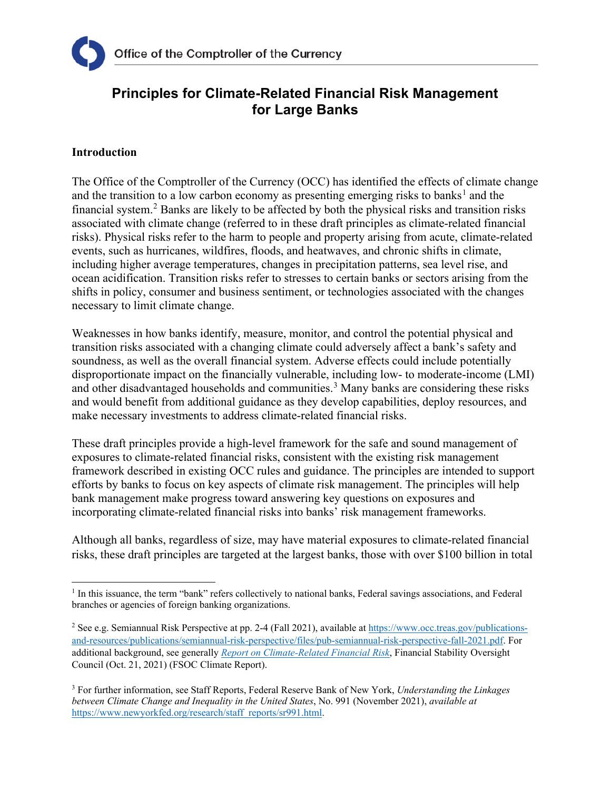# **Principles for Climate-Related Financial Risk Management for Large Banks**

## **Introduction**

The Office of the Comptroller of the Currency (OCC) has identified the effects of climate change and the transition to a low carbon economy as presenting emerging risks to banks<sup>[1](#page-0-0)</sup> and the financial system.[2](#page-0-1) Banks are likely to be affected by both the physical risks and transition risks associated with climate change (referred to in these draft principles as climate-related financial risks). Physical risks refer to the harm to people and property arising from acute, climate-related events, such as hurricanes, wildfires, floods, and heatwaves, and chronic shifts in climate, including higher average temperatures, changes in precipitation patterns, sea level rise, and ocean acidification. Transition risks refer to stresses to certain banks or sectors arising from the shifts in policy, consumer and business sentiment, or technologies associated with the changes necessary to limit climate change.

Weaknesses in how banks identify, measure, monitor, and control the potential physical and transition risks associated with a changing climate could adversely affect a bank's safety and soundness, as well as the overall financial system. Adverse effects could include potentially disproportionate impact on the financially vulnerable, including low- to moderate-income (LMI) and other disadvantaged households and communities.<sup>[3](#page-0-2)</sup> Many banks are considering these risks and would benefit from additional guidance as they develop capabilities, deploy resources, and make necessary investments to address climate-related financial risks.

These draft principles provide a high-level framework for the safe and sound management of exposures to climate-related financial risks, consistent with the existing risk management framework described in existing OCC rules and guidance. The principles are intended to support efforts by banks to focus on key aspects of climate risk management. The principles will help bank management make progress toward answering key questions on exposures and incorporating climate-related financial risks into banks' risk management frameworks.

Although all banks, regardless of size, may have material exposures to climate-related financial risks, these draft principles are targeted at the largest banks, those with over \$100 billion in total

<span id="page-0-0"></span> $<sup>1</sup>$  In this issuance, the term "bank" refers collectively to national banks, Federal savings associations, and Federal</sup> branches or agencies of foreign banking organizations.

<span id="page-0-1"></span><sup>2</sup> See e.g. Semiannual Risk Perspective at pp. 2-4 (Fall 2021), available at [https://www.occ.treas.gov/publications](https://www.occ.treas.gov/publications-and-resources/publications/semiannual-risk-perspective/files/pub-semiannual-risk-perspective-fall-2021.pdf)[and-resources/publications/semiannual-risk-perspective/files/pub-semiannual-risk-perspective-fall-2021.pdf.](https://www.occ.treas.gov/publications-and-resources/publications/semiannual-risk-perspective/files/pub-semiannual-risk-perspective-fall-2021.pdf) For additional background, see generally *[Report on Climate-Related Financial Risk](https://home.treasury.gov/system/files/261/FSOC-Climate-Report.pdf)*, Financial Stability Oversight Council (Oct. 21, 2021) (FSOC Climate Report).

<span id="page-0-2"></span><sup>3</sup> For further information, see Staff Reports, Federal Reserve Bank of New York, *Understanding the Linkages between Climate Change and Inequality in the United States*, No. 991 (November 2021), *available at*  [https://www.newyorkfed.org/research/staff\\_reports/sr991.html.](https://www.newyorkfed.org/research/staff_reports/sr991.html)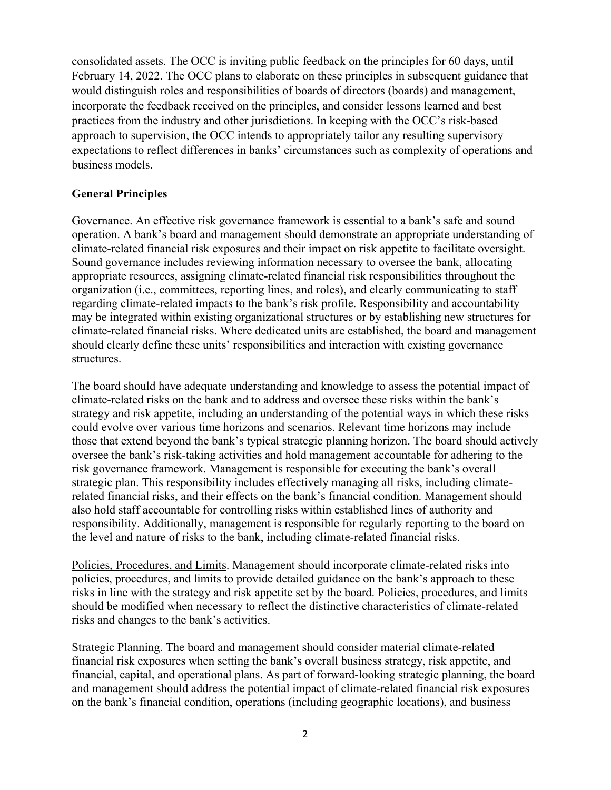consolidated assets. The OCC is inviting public feedback on the principles for 60 days, until February 14, 2022. The OCC plans to elaborate on these principles in subsequent guidance that would distinguish roles and responsibilities of boards of directors (boards) and management, incorporate the feedback received on the principles, and consider lessons learned and best practices from the industry and other jurisdictions. In keeping with the OCC's risk-based approach to supervision, the OCC intends to appropriately tailor any resulting supervisory expectations to reflect differences in banks' circumstances such as complexity of operations and business models.

### **General Principles**

Governance. An effective risk governance framework is essential to a bank's safe and sound operation. A bank's board and management should demonstrate an appropriate understanding of climate-related financial risk exposures and their impact on risk appetite to facilitate oversight. Sound governance includes reviewing information necessary to oversee the bank, allocating appropriate resources, assigning climate-related financial risk responsibilities throughout the organization (i.e., committees, reporting lines, and roles), and clearly communicating to staff regarding climate-related impacts to the bank's risk profile. Responsibility and accountability may be integrated within existing organizational structures or by establishing new structures for climate-related financial risks. Where dedicated units are established, the board and management should clearly define these units' responsibilities and interaction with existing governance structures.

The board should have adequate understanding and knowledge to assess the potential impact of climate-related risks on the bank and to address and oversee these risks within the bank's strategy and risk appetite, including an understanding of the potential ways in which these risks could evolve over various time horizons and scenarios. Relevant time horizons may include those that extend beyond the bank's typical strategic planning horizon. The board should actively oversee the bank's risk-taking activities and hold management accountable for adhering to the risk governance framework. Management is responsible for executing the bank's overall strategic plan. This responsibility includes effectively managing all risks, including climaterelated financial risks, and their effects on the bank's financial condition. Management should also hold staff accountable for controlling risks within established lines of authority and responsibility. Additionally, management is responsible for regularly reporting to the board on the level and nature of risks to the bank, including climate-related financial risks.

Policies, Procedures, and Limits. Management should incorporate climate-related risks into policies, procedures, and limits to provide detailed guidance on the bank's approach to these risks in line with the strategy and risk appetite set by the board. Policies, procedures, and limits should be modified when necessary to reflect the distinctive characteristics of climate-related risks and changes to the bank's activities.

Strategic Planning. The board and management should consider material climate-related financial risk exposures when setting the bank's overall business strategy, risk appetite, and financial, capital, and operational plans. As part of forward-looking strategic planning, the board and management should address the potential impact of climate-related financial risk exposures on the bank's financial condition, operations (including geographic locations), and business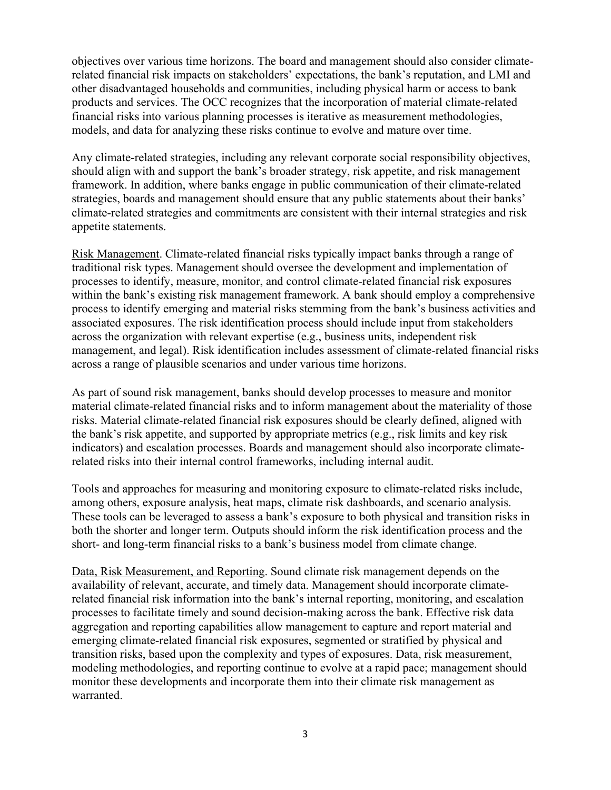objectives over various time horizons. The board and management should also consider climaterelated financial risk impacts on stakeholders' expectations, the bank's reputation, and LMI and other disadvantaged households and communities, including physical harm or access to bank products and services. The OCC recognizes that the incorporation of material climate-related financial risks into various planning processes is iterative as measurement methodologies, models, and data for analyzing these risks continue to evolve and mature over time.

Any climate-related strategies, including any relevant corporate social responsibility objectives, should align with and support the bank's broader strategy, risk appetite, and risk management framework. In addition, where banks engage in public communication of their climate-related strategies, boards and management should ensure that any public statements about their banks' climate-related strategies and commitments are consistent with their internal strategies and risk appetite statements.

Risk Management. Climate-related financial risks typically impact banks through a range of traditional risk types. Management should oversee the development and implementation of processes to identify, measure, monitor, and control climate-related financial risk exposures within the bank's existing risk management framework. A bank should employ a comprehensive process to identify emerging and material risks stemming from the bank's business activities and associated exposures. The risk identification process should include input from stakeholders across the organization with relevant expertise (e.g., business units, independent risk management, and legal). Risk identification includes assessment of climate-related financial risks across a range of plausible scenarios and under various time horizons.

As part of sound risk management, banks should develop processes to measure and monitor material climate-related financial risks and to inform management about the materiality of those risks. Material climate-related financial risk exposures should be clearly defined, aligned with the bank's risk appetite, and supported by appropriate metrics (e.g., risk limits and key risk indicators) and escalation processes. Boards and management should also incorporate climaterelated risks into their internal control frameworks, including internal audit.

Tools and approaches for measuring and monitoring exposure to climate-related risks include, among others, exposure analysis, heat maps, climate risk dashboards, and scenario analysis. These tools can be leveraged to assess a bank's exposure to both physical and transition risks in both the shorter and longer term. Outputs should inform the risk identification process and the short- and long-term financial risks to a bank's business model from climate change.

Data, Risk Measurement, and Reporting. Sound climate risk management depends on the availability of relevant, accurate, and timely data. Management should incorporate climaterelated financial risk information into the bank's internal reporting, monitoring, and escalation processes to facilitate timely and sound decision-making across the bank. Effective risk data aggregation and reporting capabilities allow management to capture and report material and emerging climate-related financial risk exposures, segmented or stratified by physical and transition risks, based upon the complexity and types of exposures. Data, risk measurement, modeling methodologies, and reporting continue to evolve at a rapid pace; management should monitor these developments and incorporate them into their climate risk management as warranted.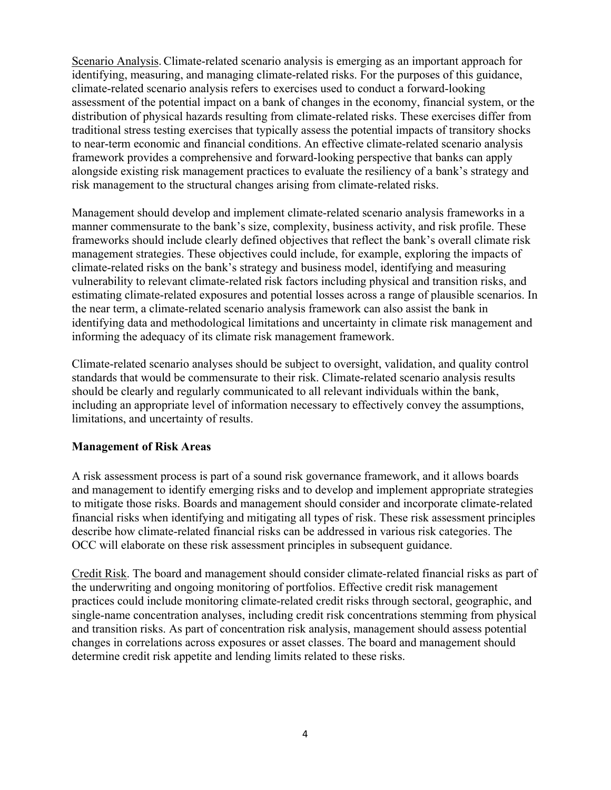Scenario Analysis.Climate-related scenario analysis is emerging as an important approach for identifying, measuring, and managing climate-related risks. For the purposes of this guidance, climate-related scenario analysis refers to exercises used to conduct a forward-looking assessment of the potential impact on a bank of changes in the economy, financial system, or the distribution of physical hazards resulting from climate-related risks. These exercises differ from traditional stress testing exercises that typically assess the potential impacts of transitory shocks to near-term economic and financial conditions. An effective climate-related scenario analysis framework provides a comprehensive and forward-looking perspective that banks can apply alongside existing risk management practices to evaluate the resiliency of a bank's strategy and risk management to the structural changes arising from climate-related risks.

Management should develop and implement climate-related scenario analysis frameworks in a manner commensurate to the bank's size, complexity, business activity, and risk profile. These frameworks should include clearly defined objectives that reflect the bank's overall climate risk management strategies. These objectives could include, for example, exploring the impacts of climate-related risks on the bank's strategy and business model, identifying and measuring vulnerability to relevant climate-related risk factors including physical and transition risks, and estimating climate-related exposures and potential losses across a range of plausible scenarios. In the near term, a climate-related scenario analysis framework can also assist the bank in identifying data and methodological limitations and uncertainty in climate risk management and informing the adequacy of its climate risk management framework.

Climate-related scenario analyses should be subject to oversight, validation, and quality control standards that would be commensurate to their risk. Climate-related scenario analysis results should be clearly and regularly communicated to all relevant individuals within the bank, including an appropriate level of information necessary to effectively convey the assumptions, limitations, and uncertainty of results.

### **Management of Risk Areas**

A risk assessment process is part of a sound risk governance framework, and it allows boards and management to identify emerging risks and to develop and implement appropriate strategies to mitigate those risks. Boards and management should consider and incorporate climate-related financial risks when identifying and mitigating all types of risk. These risk assessment principles describe how climate-related financial risks can be addressed in various risk categories. The OCC will elaborate on these risk assessment principles in subsequent guidance.

Credit Risk. The board and management should consider climate-related financial risks as part of the underwriting and ongoing monitoring of portfolios. Effective credit risk management practices could include monitoring climate-related credit risks through sectoral, geographic, and single-name concentration analyses, including credit risk concentrations stemming from physical and transition risks. As part of concentration risk analysis, management should assess potential changes in correlations across exposures or asset classes. The board and management should determine credit risk appetite and lending limits related to these risks.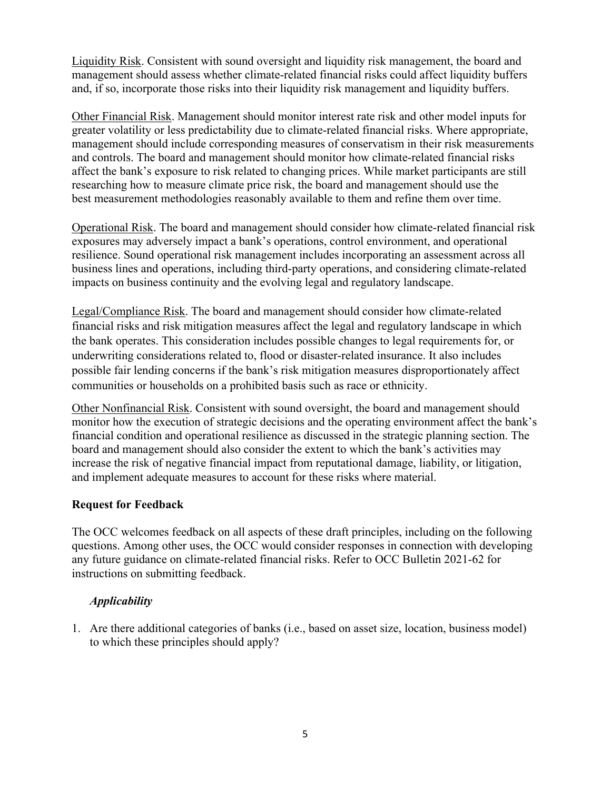Liquidity Risk. Consistent with sound oversight and liquidity risk management, the board and management should assess whether climate-related financial risks could affect liquidity buffers and, if so, incorporate those risks into their liquidity risk management and liquidity buffers.

Other Financial Risk. Management should monitor interest rate risk and other model inputs for greater volatility or less predictability due to climate-related financial risks. Where appropriate, management should include corresponding measures of conservatism in their risk measurements and controls. The board and management should monitor how climate-related financial risks affect the bank's exposure to risk related to changing prices. While market participants are still researching how to measure climate price risk, the board and management should use the best measurement methodologies reasonably available to them and refine them over time.

Operational Risk. The board and management should consider how climate-related financial risk exposures may adversely impact a bank's operations, control environment, and operational resilience. Sound operational risk management includes incorporating an assessment across all business lines and operations, including third-party operations, and considering climate-related impacts on business continuity and the evolving legal and regulatory landscape.

Legal/Compliance Risk. The board and management should consider how climate-related financial risks and risk mitigation measures affect the legal and regulatory landscape in which the bank operates. This consideration includes possible changes to legal requirements for, or underwriting considerations related to, flood or disaster-related insurance. It also includes possible fair lending concerns if the bank's risk mitigation measures disproportionately affect communities or households on a prohibited basis such as race or ethnicity.

Other Nonfinancial Risk. Consistent with sound oversight, the board and management should monitor how the execution of strategic decisions and the operating environment affect the bank's financial condition and operational resilience as discussed in the strategic planning section. The board and management should also consider the extent to which the bank's activities may increase the risk of negative financial impact from reputational damage, liability, or litigation, and implement adequate measures to account for these risks where material.

# **Request for Feedback**

The OCC welcomes feedback on all aspects of these draft principles, including on the following questions. Among other uses, the OCC would consider responses in connection with developing any future guidance on climate-related financial risks. Refer to OCC Bulletin 2021-62 for instructions on submitting feedback.

# *Applicability*

1. Are there additional categories of banks (i.e., based on asset size, location, business model) to which these principles should apply?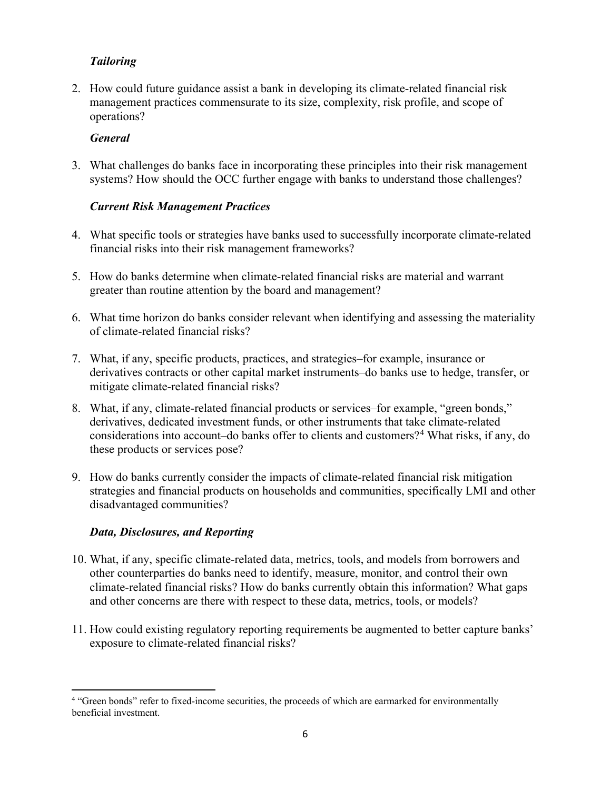# *Tailoring*

2. How could future guidance assist a bank in developing its climate-related financial risk management practices commensurate to its size, complexity, risk profile, and scope of operations?

## *General*

3. What challenges do banks face in incorporating these principles into their risk management systems? How should the OCC further engage with banks to understand those challenges?

# *Current Risk Management Practices*

- 4. What specific tools or strategies have banks used to successfully incorporate climate-related financial risks into their risk management frameworks?
- 5. How do banks determine when climate-related financial risks are material and warrant greater than routine attention by the board and management?
- 6. What time horizon do banks consider relevant when identifying and assessing the materiality of climate-related financial risks?
- 7. What, if any, specific products, practices, and strategies–for example, insurance or derivatives contracts or other capital market instruments–do banks use to hedge, transfer, or mitigate climate-related financial risks?
- 8. What, if any, climate-related financial products or services–for example, "green bonds," derivatives, dedicated investment funds, or other instruments that take climate-related considerations into account–do banks offer to clients and customers?<sup>[4](#page-5-0)</sup> What risks, if any, do these products or services pose?
- 9. How do banks currently consider the impacts of climate-related financial risk mitigation strategies and financial products on households and communities, specifically LMI and other disadvantaged communities?

# *Data, Disclosures, and Reporting*

- 10. What, if any, specific climate-related data, metrics, tools, and models from borrowers and other counterparties do banks need to identify, measure, monitor, and control their own climate-related financial risks? How do banks currently obtain this information? What gaps and other concerns are there with respect to these data, metrics, tools, or models?
- 11. How could existing regulatory reporting requirements be augmented to better capture banks' exposure to climate-related financial risks?

<span id="page-5-0"></span><sup>&</sup>lt;sup>4</sup> "Green bonds" refer to fixed-income securities, the proceeds of which are earmarked for environmentally beneficial investment.